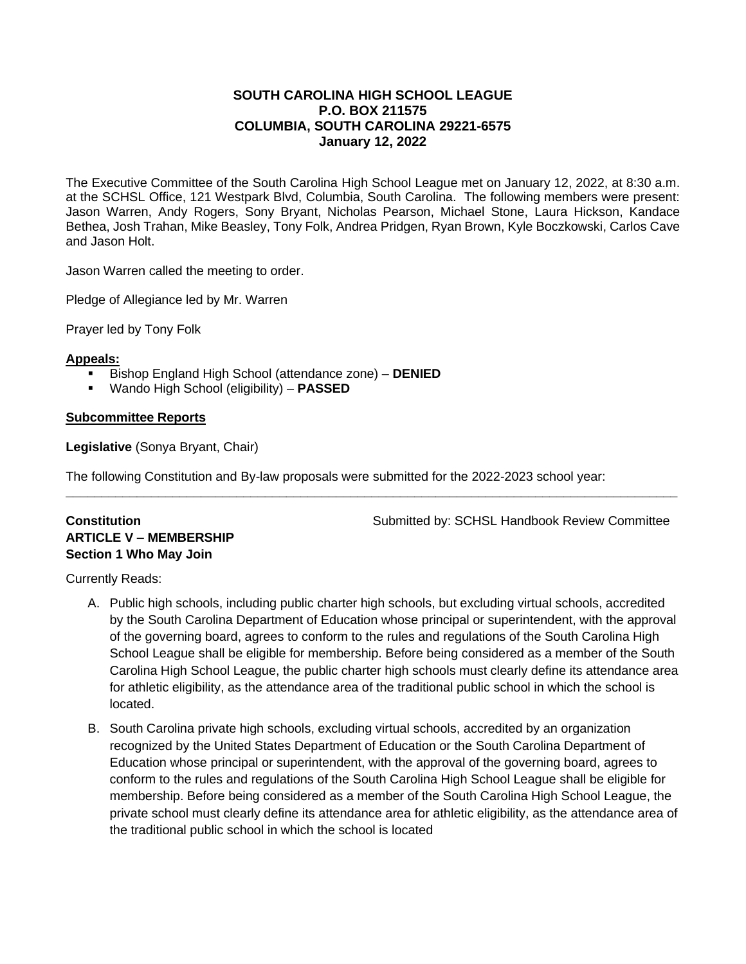## **SOUTH CAROLINA HIGH SCHOOL LEAGUE P.O. BOX 211575 COLUMBIA, SOUTH CAROLINA 29221-6575 January 12, 2022**

The Executive Committee of the South Carolina High School League met on January 12, 2022, at 8:30 a.m. at the SCHSL Office, 121 Westpark Blvd, Columbia, South Carolina. The following members were present: Jason Warren, Andy Rogers, Sony Bryant, Nicholas Pearson, Michael Stone, Laura Hickson, Kandace Bethea, Josh Trahan, Mike Beasley, Tony Folk, Andrea Pridgen, Ryan Brown, Kyle Boczkowski, Carlos Cave and Jason Holt.

Jason Warren called the meeting to order.

Pledge of Allegiance led by Mr. Warren

Prayer led by Tony Folk

#### **Appeals:**

- Bishop England High School (attendance zone) **DENIED**
- Wando High School (eligibility) **PASSED**

## **Subcommittee Reports**

**Legislative** (Sonya Bryant, Chair)

The following Constitution and By-law proposals were submitted for the 2022-2023 school year:

**\_\_\_\_\_\_\_\_\_\_\_\_\_\_\_\_\_\_\_\_\_\_\_\_\_\_\_\_\_\_\_\_\_\_\_\_\_\_\_\_\_\_\_\_\_\_\_\_\_\_\_\_\_\_\_\_\_\_\_\_\_\_\_\_\_\_\_\_\_\_\_\_\_\_\_\_\_\_\_\_\_\_\_\_\_\_**

# **ARTICLE V – MEMBERSHIP Section 1 Who May Join**

**Constitution Submitted by: SCHSL Handbook Review Committee** 

Currently Reads:

- A. Public high schools, including public charter high schools, but excluding virtual schools, accredited by the South Carolina Department of Education whose principal or superintendent, with the approval of the governing board, agrees to conform to the rules and regulations of the South Carolina High School League shall be eligible for membership. Before being considered as a member of the South Carolina High School League, the public charter high schools must clearly define its attendance area for athletic eligibility, as the attendance area of the traditional public school in which the school is located.
- B. South Carolina private high schools, excluding virtual schools, accredited by an organization recognized by the United States Department of Education or the South Carolina Department of Education whose principal or superintendent, with the approval of the governing board, agrees to conform to the rules and regulations of the South Carolina High School League shall be eligible for membership. Before being considered as a member of the South Carolina High School League, the private school must clearly define its attendance area for athletic eligibility, as the attendance area of the traditional public school in which the school is located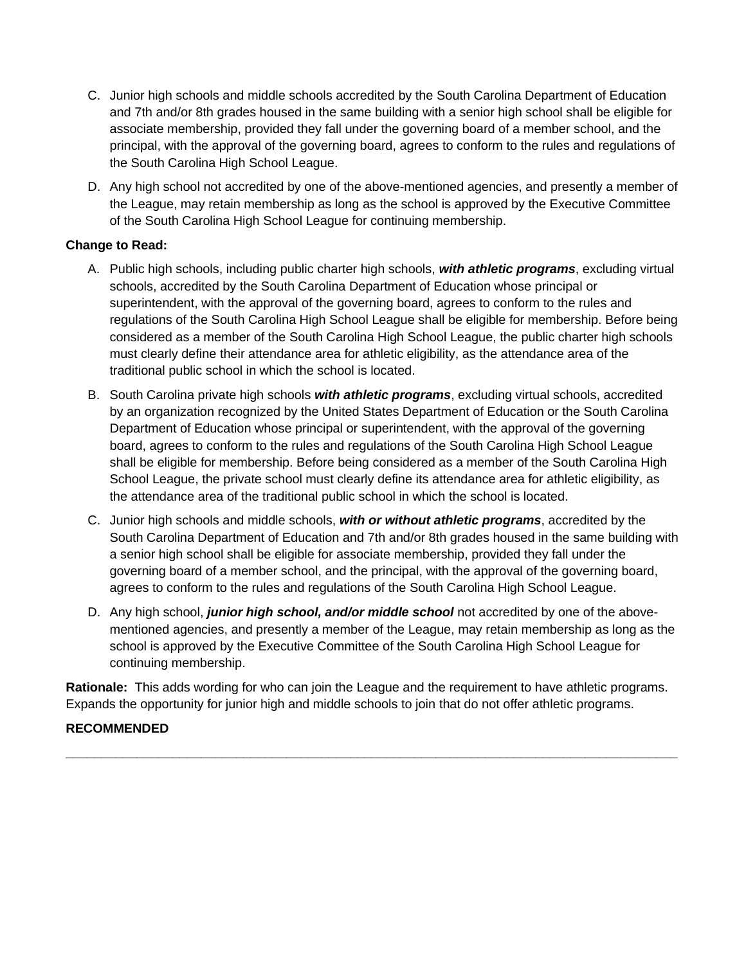- C. Junior high schools and middle schools accredited by the South Carolina Department of Education and 7th and/or 8th grades housed in the same building with a senior high school shall be eligible for associate membership, provided they fall under the governing board of a member school, and the principal, with the approval of the governing board, agrees to conform to the rules and regulations of the South Carolina High School League.
- D. Any high school not accredited by one of the above-mentioned agencies, and presently a member of the League, may retain membership as long as the school is approved by the Executive Committee of the South Carolina High School League for continuing membership.

- A. Public high schools, including public charter high schools, *with athletic programs*, excluding virtual schools, accredited by the South Carolina Department of Education whose principal or superintendent, with the approval of the governing board, agrees to conform to the rules and regulations of the South Carolina High School League shall be eligible for membership. Before being considered as a member of the South Carolina High School League, the public charter high schools must clearly define their attendance area for athletic eligibility, as the attendance area of the traditional public school in which the school is located.
- B. South Carolina private high schools *with athletic programs*, excluding virtual schools, accredited by an organization recognized by the United States Department of Education or the South Carolina Department of Education whose principal or superintendent, with the approval of the governing board, agrees to conform to the rules and regulations of the South Carolina High School League shall be eligible for membership. Before being considered as a member of the South Carolina High School League, the private school must clearly define its attendance area for athletic eligibility, as the attendance area of the traditional public school in which the school is located.
- C. Junior high schools and middle schools, *with or without athletic programs*, accredited by the South Carolina Department of Education and 7th and/or 8th grades housed in the same building with a senior high school shall be eligible for associate membership, provided they fall under the governing board of a member school, and the principal, with the approval of the governing board, agrees to conform to the rules and regulations of the South Carolina High School League.
- D. Any high school, *junior high school, and/or middle school* not accredited by one of the abovementioned agencies, and presently a member of the League, may retain membership as long as the school is approved by the Executive Committee of the South Carolina High School League for continuing membership.

**Rationale:** This adds wording for who can join the League and the requirement to have athletic programs. Expands the opportunity for junior high and middle schools to join that do not offer athletic programs.

**\_\_\_\_\_\_\_\_\_\_\_\_\_\_\_\_\_\_\_\_\_\_\_\_\_\_\_\_\_\_\_\_\_\_\_\_\_\_\_\_\_\_\_\_\_\_\_\_\_\_\_\_\_\_\_\_\_\_\_\_\_\_\_\_\_\_\_\_\_\_\_\_\_\_\_\_\_\_\_\_\_\_\_\_\_\_**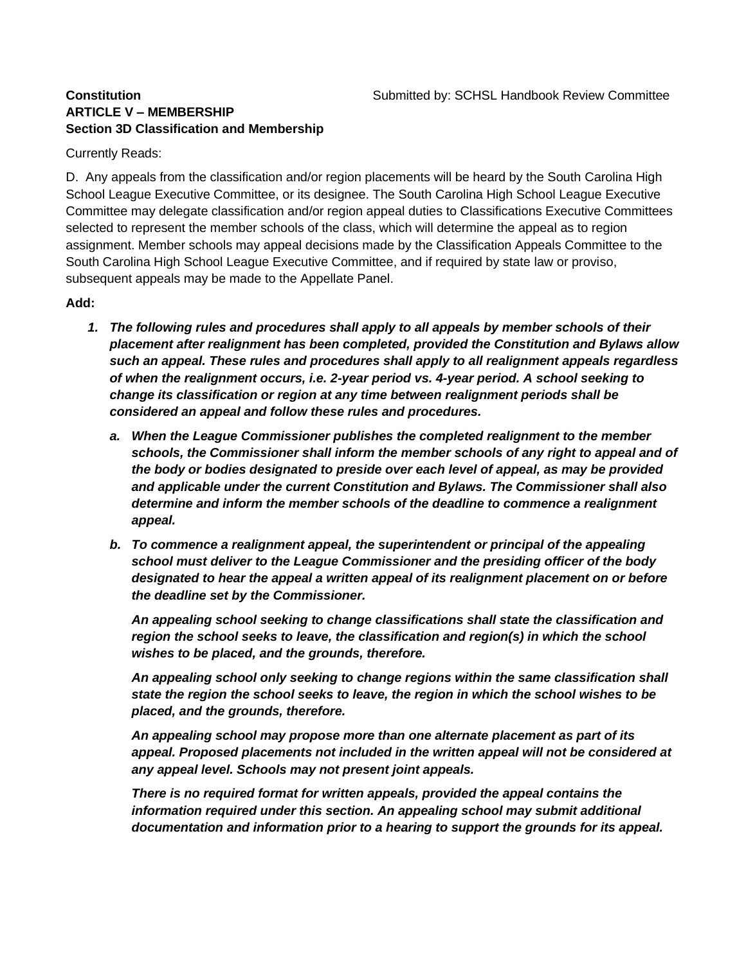## **ARTICLE V – MEMBERSHIP Section 3D Classification and Membership**

## Currently Reads:

D. Any appeals from the classification and/or region placements will be heard by the South Carolina High School League Executive Committee, or its designee. The South Carolina High School League Executive Committee may delegate classification and/or region appeal duties to Classifications Executive Committees selected to represent the member schools of the class, which will determine the appeal as to region assignment. Member schools may appeal decisions made by the Classification Appeals Committee to the South Carolina High School League Executive Committee, and if required by state law or proviso, subsequent appeals may be made to the Appellate Panel.

## **Add:**

- *1. The following rules and procedures shall apply to all appeals by member schools of their placement after realignment has been completed, provided the Constitution and Bylaws allow such an appeal. These rules and procedures shall apply to all realignment appeals regardless of when the realignment occurs, i.e. 2-year period vs. 4-year period. A school seeking to change its classification or region at any time between realignment periods shall be considered an appeal and follow these rules and procedures.*
	- *a. When the League Commissioner publishes the completed realignment to the member schools, the Commissioner shall inform the member schools of any right to appeal and of the body or bodies designated to preside over each level of appeal, as may be provided and applicable under the current Constitution and Bylaws. The Commissioner shall also determine and inform the member schools of the deadline to commence a realignment appeal.*
	- *b. To commence a realignment appeal, the superintendent or principal of the appealing school must deliver to the League Commissioner and the presiding officer of the body designated to hear the appeal a written appeal of its realignment placement on or before the deadline set by the Commissioner.*

*An appealing school seeking to change classifications shall state the classification and region the school seeks to leave, the classification and region(s) in which the school wishes to be placed, and the grounds, therefore.*

*An appealing school only seeking to change regions within the same classification shall state the region the school seeks to leave, the region in which the school wishes to be placed, and the grounds, therefore.*

*An appealing school may propose more than one alternate placement as part of its appeal. Proposed placements not included in the written appeal will not be considered at any appeal level. Schools may not present joint appeals.*

*There is no required format for written appeals, provided the appeal contains the information required under this section. An appealing school may submit additional documentation and information prior to a hearing to support the grounds for its appeal.*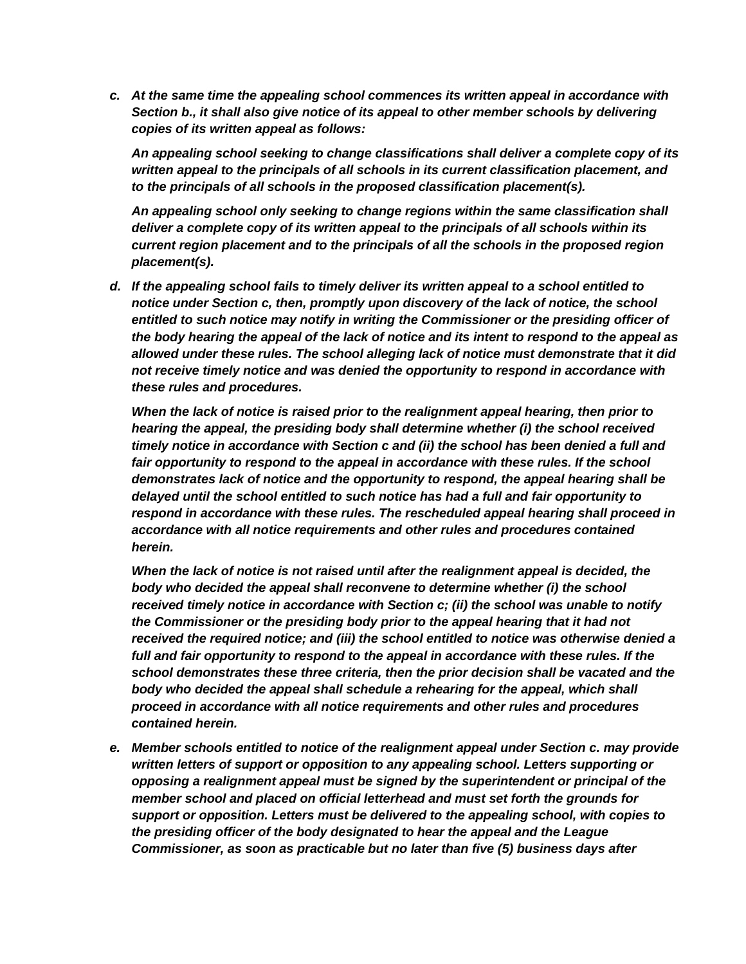*c. At the same time the appealing school commences its written appeal in accordance with Section b., it shall also give notice of its appeal to other member schools by delivering copies of its written appeal as follows:*

*An appealing school seeking to change classifications shall deliver a complete copy of its written appeal to the principals of all schools in its current classification placement, and to the principals of all schools in the proposed classification placement(s).*

*An appealing school only seeking to change regions within the same classification shall deliver a complete copy of its written appeal to the principals of all schools within its current region placement and to the principals of all the schools in the proposed region placement(s).*

*d. If the appealing school fails to timely deliver its written appeal to a school entitled to notice under Section c, then, promptly upon discovery of the lack of notice, the school entitled to such notice may notify in writing the Commissioner or the presiding officer of the body hearing the appeal of the lack of notice and its intent to respond to the appeal as allowed under these rules. The school alleging lack of notice must demonstrate that it did not receive timely notice and was denied the opportunity to respond in accordance with these rules and procedures.*

*When the lack of notice is raised prior to the realignment appeal hearing, then prior to hearing the appeal, the presiding body shall determine whether (i) the school received timely notice in accordance with Section c and (ii) the school has been denied a full and*  fair opportunity to respond to the appeal in accordance with these rules. If the school *demonstrates lack of notice and the opportunity to respond, the appeal hearing shall be delayed until the school entitled to such notice has had a full and fair opportunity to respond in accordance with these rules. The rescheduled appeal hearing shall proceed in accordance with all notice requirements and other rules and procedures contained herein.*

*When the lack of notice is not raised until after the realignment appeal is decided, the body who decided the appeal shall reconvene to determine whether (i) the school received timely notice in accordance with Section c; (ii) the school was unable to notify the Commissioner or the presiding body prior to the appeal hearing that it had not received the required notice; and (iii) the school entitled to notice was otherwise denied a*  full and fair opportunity to respond to the appeal in accordance with these rules. If the *school demonstrates these three criteria, then the prior decision shall be vacated and the*  body who decided the appeal shall schedule a rehearing for the appeal, which shall *proceed in accordance with all notice requirements and other rules and procedures contained herein.*

*e. Member schools entitled to notice of the realignment appeal under Section c. may provide written letters of support or opposition to any appealing school. Letters supporting or opposing a realignment appeal must be signed by the superintendent or principal of the member school and placed on official letterhead and must set forth the grounds for support or opposition. Letters must be delivered to the appealing school, with copies to the presiding officer of the body designated to hear the appeal and the League Commissioner, as soon as practicable but no later than five (5) business days after*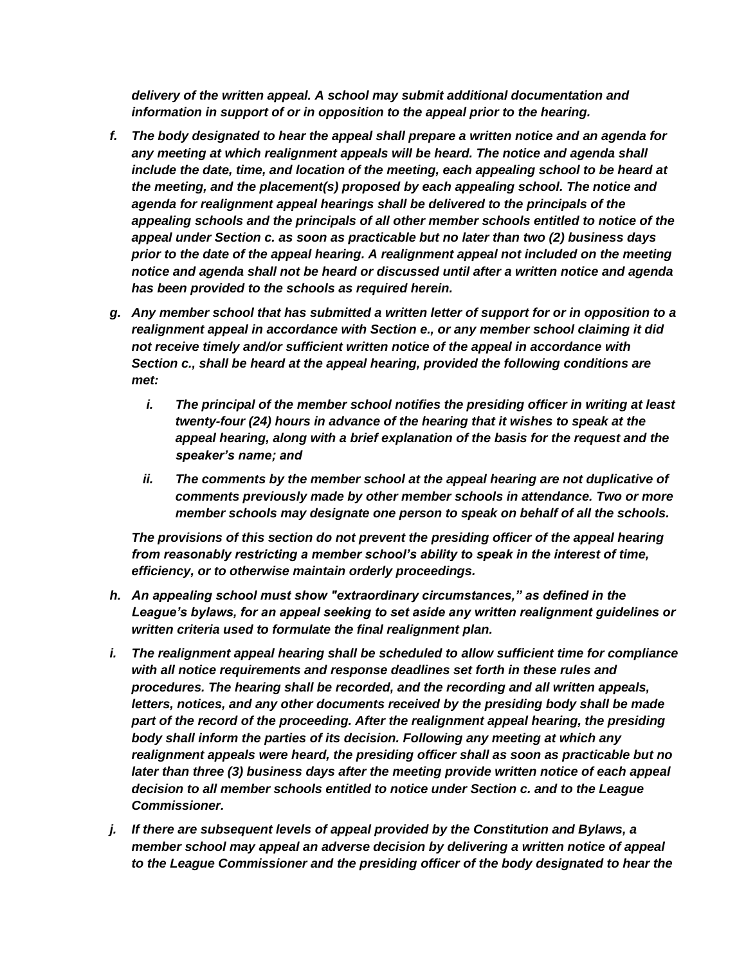*delivery of the written appeal. A school may submit additional documentation and information in support of or in opposition to the appeal prior to the hearing.*

- *f. The body designated to hear the appeal shall prepare a written notice and an agenda for*  any meeting at which realignment appeals will be heard. The notice and agenda shall *include the date, time, and location of the meeting, each appealing school to be heard at the meeting, and the placement(s) proposed by each appealing school. The notice and agenda for realignment appeal hearings shall be delivered to the principals of the appealing schools and the principals of all other member schools entitled to notice of the appeal under Section c. as soon as practicable but no later than two (2) business days prior to the date of the appeal hearing. A realignment appeal not included on the meeting notice and agenda shall not be heard or discussed until after a written notice and agenda has been provided to the schools as required herein.*
- *g. Any member school that has submitted a written letter of support for or in opposition to a realignment appeal in accordance with Section e., or any member school claiming it did not receive timely and/or sufficient written notice of the appeal in accordance with Section c., shall be heard at the appeal hearing, provided the following conditions are met:*
	- *i. The principal of the member school notifies the presiding officer in writing at least twenty-four (24) hours in advance of the hearing that it wishes to speak at the appeal hearing, along with a brief explanation of the basis for the request and the speaker's name; and*
	- *ii.* The comments by the member school at the appeal hearing are not duplicative of *comments previously made by other member schools in attendance. Two or more member schools may designate one person to speak on behalf of all the schools.*

*The provisions of this section do not prevent the presiding officer of the appeal hearing from reasonably restricting a member school's ability to speak in the interest of time, efficiency, or to otherwise maintain orderly proceedings.*

- *h. An appealing school must show "extraordinary circumstances," as defined in the League's bylaws, for an appeal seeking to set aside any written realignment guidelines or written criteria used to formulate the final realignment plan.*
- *i. The realignment appeal hearing shall be scheduled to allow sufficient time for compliance with all notice requirements and response deadlines set forth in these rules and procedures. The hearing shall be recorded, and the recording and all written appeals, letters, notices, and any other documents received by the presiding body shall be made part of the record of the proceeding. After the realignment appeal hearing, the presiding body shall inform the parties of its decision. Following any meeting at which any realignment appeals were heard, the presiding officer shall as soon as practicable but no later than three (3) business days after the meeting provide written notice of each appeal decision to all member schools entitled to notice under Section c. and to the League Commissioner.*
- *j. If there are subsequent levels of appeal provided by the Constitution and Bylaws, a member school may appeal an adverse decision by delivering a written notice of appeal to the League Commissioner and the presiding officer of the body designated to hear the*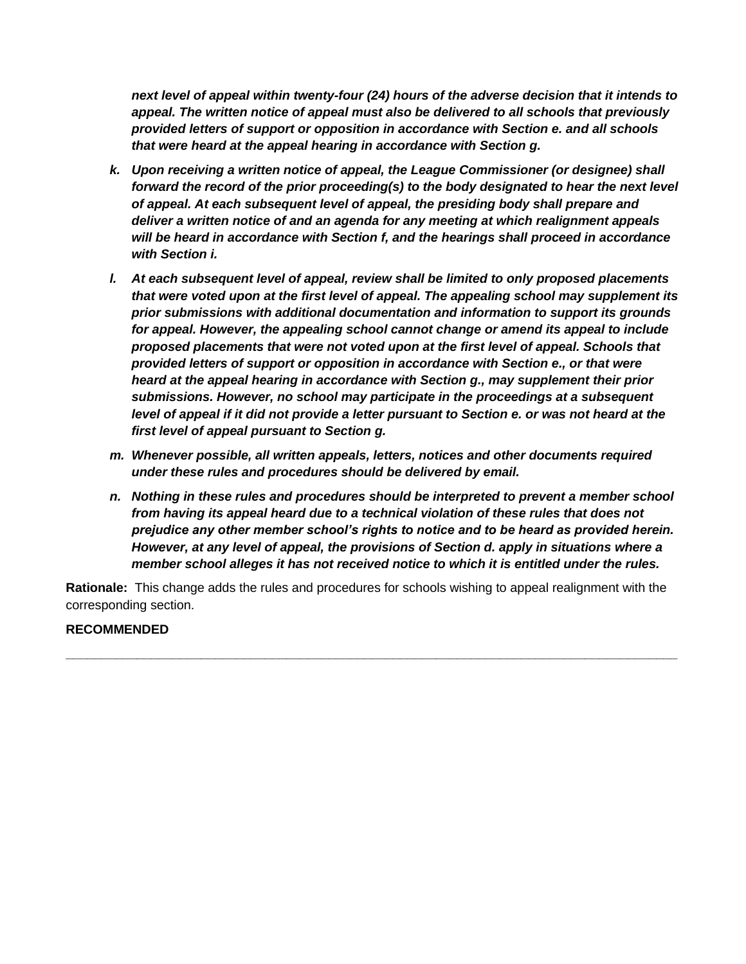*next level of appeal within twenty-four (24) hours of the adverse decision that it intends to appeal. The written notice of appeal must also be delivered to all schools that previously provided letters of support or opposition in accordance with Section e. and all schools that were heard at the appeal hearing in accordance with Section g.*

- *k. Upon receiving a written notice of appeal, the League Commissioner (or designee) shall forward the record of the prior proceeding(s) to the body designated to hear the next level of appeal. At each subsequent level of appeal, the presiding body shall prepare and deliver a written notice of and an agenda for any meeting at which realignment appeals will be heard in accordance with Section f, and the hearings shall proceed in accordance with Section i.*
- *l. At each subsequent level of appeal, review shall be limited to only proposed placements that were voted upon at the first level of appeal. The appealing school may supplement its prior submissions with additional documentation and information to support its grounds for appeal. However, the appealing school cannot change or amend its appeal to include proposed placements that were not voted upon at the first level of appeal. Schools that provided letters of support or opposition in accordance with Section e., or that were heard at the appeal hearing in accordance with Section g., may supplement their prior submissions. However, no school may participate in the proceedings at a subsequent level of appeal if it did not provide a letter pursuant to Section e. or was not heard at the first level of appeal pursuant to Section g.*
- *m. Whenever possible, all written appeals, letters, notices and other documents required under these rules and procedures should be delivered by email.*
- *n. Nothing in these rules and procedures should be interpreted to prevent a member school from having its appeal heard due to a technical violation of these rules that does not prejudice any other member school's rights to notice and to be heard as provided herein. However, at any level of appeal, the provisions of Section d. apply in situations where a member school alleges it has not received notice to which it is entitled under the rules.*

**Rationale:** This change adds the rules and procedures for schools wishing to appeal realignment with the corresponding section.

**\_\_\_\_\_\_\_\_\_\_\_\_\_\_\_\_\_\_\_\_\_\_\_\_\_\_\_\_\_\_\_\_\_\_\_\_\_\_\_\_\_\_\_\_\_\_\_\_\_\_\_\_\_\_\_\_\_\_\_\_\_\_\_\_\_\_\_\_\_\_\_\_\_\_\_\_\_\_\_\_\_\_\_\_\_\_**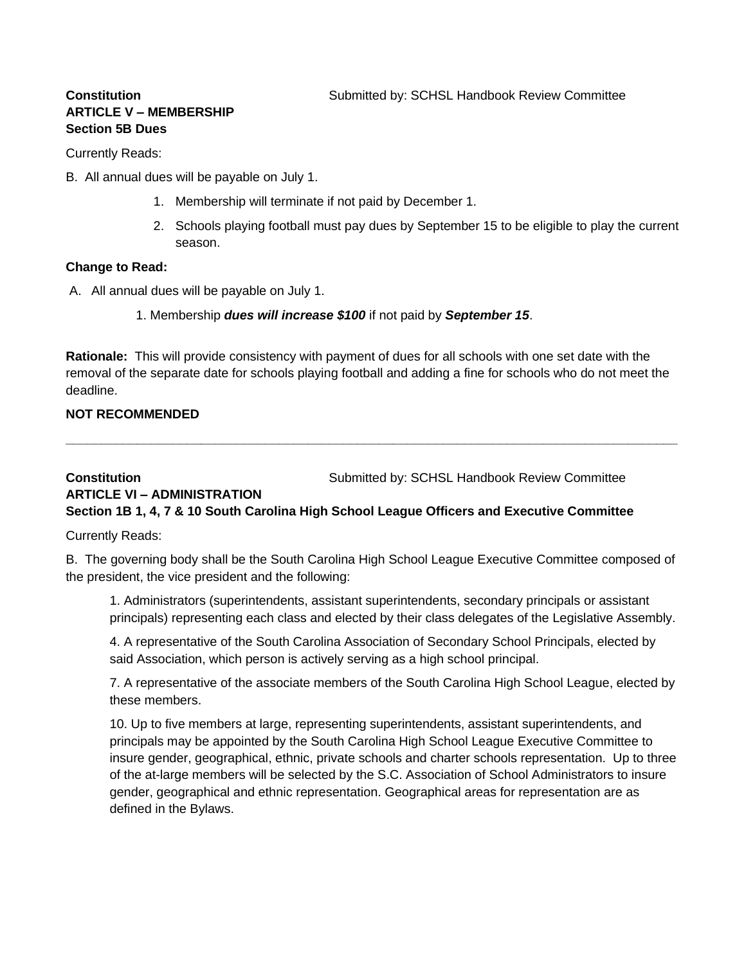## **ARTICLE V – MEMBERSHIP Section 5B Dues**

Currently Reads:

- B. All annual dues will be payable on July 1.
	- 1. Membership will terminate if not paid by December 1.
	- 2. Schools playing football must pay dues by September 15 to be eligible to play the current season.

#### **Change to Read:**

- A. All annual dues will be payable on July 1.
	- 1. Membership *dues will increase \$100* if not paid by *September 15*.

**Rationale:** This will provide consistency with payment of dues for all schools with one set date with the removal of the separate date for schools playing football and adding a fine for schools who do not meet the deadline.

**\_\_\_\_\_\_\_\_\_\_\_\_\_\_\_\_\_\_\_\_\_\_\_\_\_\_\_\_\_\_\_\_\_\_\_\_\_\_\_\_\_\_\_\_\_\_\_\_\_\_\_\_\_\_\_\_\_\_\_\_\_\_\_\_\_\_\_\_\_\_\_\_\_\_\_\_\_\_\_\_\_\_\_\_\_\_**

## **NOT RECOMMENDED**

## **Constitution Submitted by: SCHSL Handbook Review Committee ARTICLE VI – ADMINISTRATION Section 1B 1, 4, 7 & 10 South Carolina High School League Officers and Executive Committee**

Currently Reads:

B. The governing body shall be the South Carolina High School League Executive Committee composed of the president, the vice president and the following:

1. Administrators (superintendents, assistant superintendents, secondary principals or assistant principals) representing each class and elected by their class delegates of the Legislative Assembly.

4. A representative of the South Carolina Association of Secondary School Principals, elected by said Association, which person is actively serving as a high school principal.

7. A representative of the associate members of the South Carolina High School League, elected by these members.

10. Up to five members at large, representing superintendents, assistant superintendents, and principals may be appointed by the South Carolina High School League Executive Committee to insure gender, geographical, ethnic, private schools and charter schools representation. Up to three of the at-large members will be selected by the S.C. Association of School Administrators to insure gender, geographical and ethnic representation. Geographical areas for representation are as defined in the Bylaws.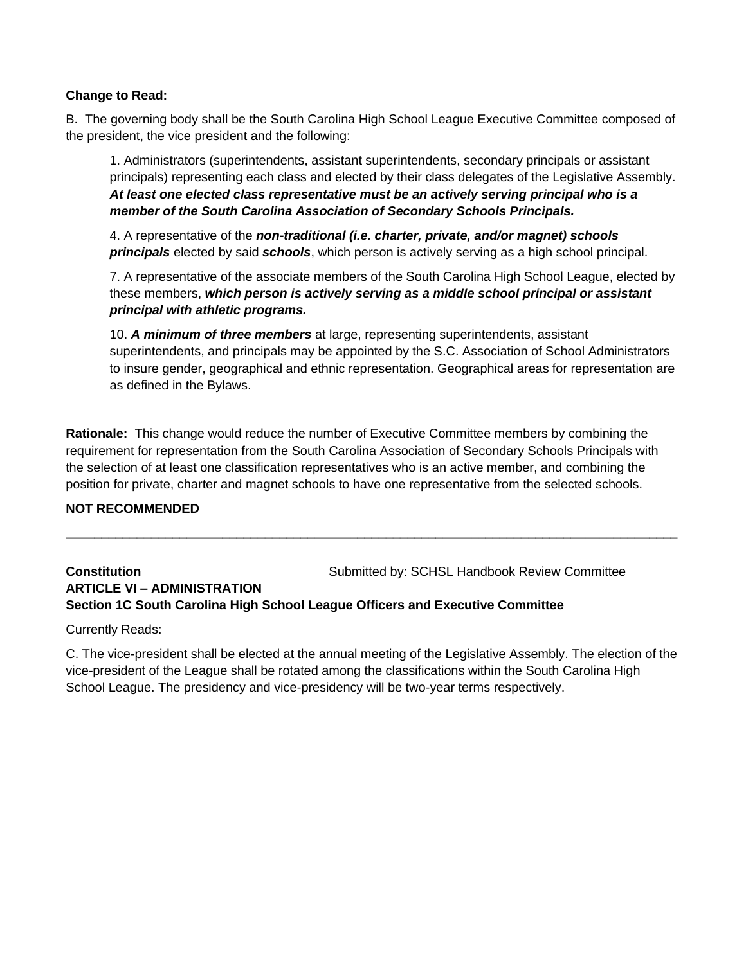B. The governing body shall be the South Carolina High School League Executive Committee composed of the president, the vice president and the following:

1. Administrators (superintendents, assistant superintendents, secondary principals or assistant principals) representing each class and elected by their class delegates of the Legislative Assembly. *At least one elected class representative must be an actively serving principal who is a member of the South Carolina Association of Secondary Schools Principals.*

4. A representative of the *non-traditional (i.e. charter, private, and/or magnet) schools principals* elected by said *schools*, which person is actively serving as a high school principal.

7. A representative of the associate members of the South Carolina High School League, elected by these members, *which person is actively serving as a middle school principal or assistant principal with athletic programs.* 

10. *A minimum of three members* at large, representing superintendents, assistant superintendents, and principals may be appointed by the S.C. Association of School Administrators to insure gender, geographical and ethnic representation. Geographical areas for representation are as defined in the Bylaws.

**Rationale:** This change would reduce the number of Executive Committee members by combining the requirement for representation from the South Carolina Association of Secondary Schools Principals with the selection of at least one classification representatives who is an active member, and combining the position for private, charter and magnet schools to have one representative from the selected schools.

**\_\_\_\_\_\_\_\_\_\_\_\_\_\_\_\_\_\_\_\_\_\_\_\_\_\_\_\_\_\_\_\_\_\_\_\_\_\_\_\_\_\_\_\_\_\_\_\_\_\_\_\_\_\_\_\_\_\_\_\_\_\_\_\_\_\_\_\_\_\_\_\_\_\_\_\_\_\_\_\_\_\_\_\_\_\_**

### **NOT RECOMMENDED**

## **Constitution Submitted by: SCHSL Handbook Review Committee ARTICLE VI – ADMINISTRATION Section 1C South Carolina High School League Officers and Executive Committee**

Currently Reads:

C. The vice-president shall be elected at the annual meeting of the Legislative Assembly. The election of the vice-president of the League shall be rotated among the classifications within the South Carolina High School League. The presidency and vice-presidency will be two-year terms respectively.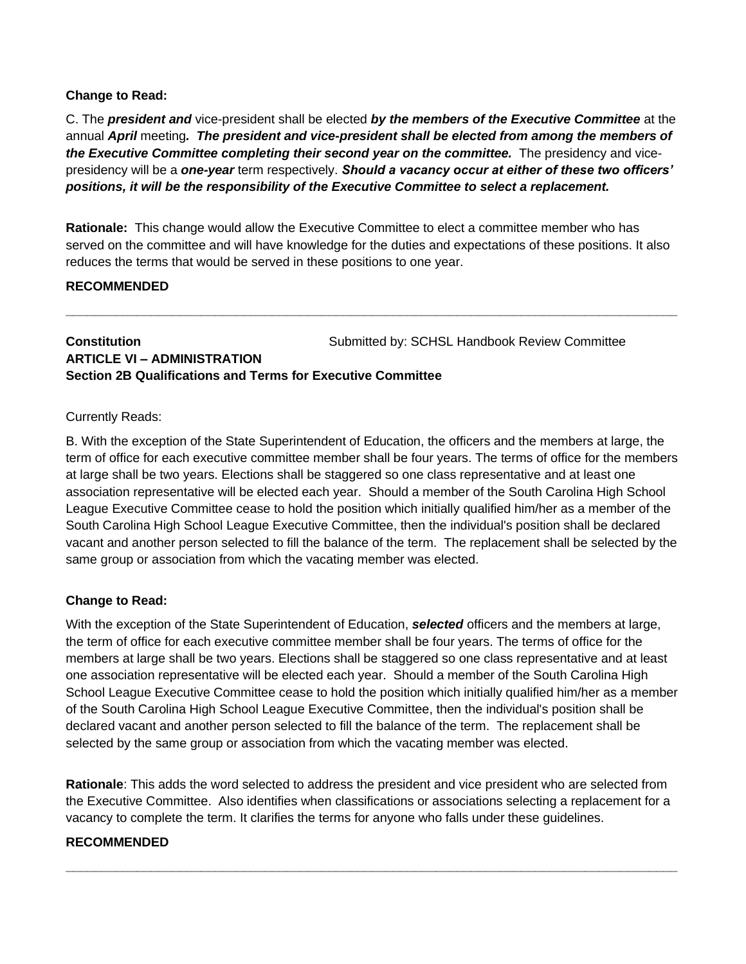C. The *president and* vice-president shall be elected *by the members of the Executive Committee* at the annual *April* meeting*. The president and vice-president shall be elected from among the members of the Executive Committee completing their second year on the committee.* The presidency and vicepresidency will be a *one-year* term respectively. *Should a vacancy occur at either of these two officers' positions, it will be the responsibility of the Executive Committee to select a replacement.* 

**Rationale:** This change would allow the Executive Committee to elect a committee member who has served on the committee and will have knowledge for the duties and expectations of these positions. It also reduces the terms that would be served in these positions to one year.

**\_\_\_\_\_\_\_\_\_\_\_\_\_\_\_\_\_\_\_\_\_\_\_\_\_\_\_\_\_\_\_\_\_\_\_\_\_\_\_\_\_\_\_\_\_\_\_\_\_\_\_\_\_\_\_\_\_\_\_\_\_\_\_\_\_\_\_\_\_\_\_\_\_\_\_\_\_\_\_\_\_\_\_\_\_\_**

## **RECOMMENDED**

**Constitution Constitution Submitted by: SCHSL Handbook Review Committee ARTICLE VI – ADMINISTRATION Section 2B Qualifications and Terms for Executive Committee**

Currently Reads:

B. With the exception of the State Superintendent of Education, the officers and the members at large, the term of office for each executive committee member shall be four years. The terms of office for the members at large shall be two years. Elections shall be staggered so one class representative and at least one association representative will be elected each year. Should a member of the South Carolina High School League Executive Committee cease to hold the position which initially qualified him/her as a member of the South Carolina High School League Executive Committee, then the individual's position shall be declared vacant and another person selected to fill the balance of the term. The replacement shall be selected by the same group or association from which the vacating member was elected.

## **Change to Read:**

With the exception of the State Superintendent of Education, *selected* officers and the members at large, the term of office for each executive committee member shall be four years. The terms of office for the members at large shall be two years. Elections shall be staggered so one class representative and at least one association representative will be elected each year. Should a member of the South Carolina High School League Executive Committee cease to hold the position which initially qualified him/her as a member of the South Carolina High School League Executive Committee, then the individual's position shall be declared vacant and another person selected to fill the balance of the term. The replacement shall be selected by the same group or association from which the vacating member was elected.

**Rationale**: This adds the word selected to address the president and vice president who are selected from the Executive Committee. Also identifies when classifications or associations selecting a replacement for a vacancy to complete the term. It clarifies the terms for anyone who falls under these guidelines.

**\_\_\_\_\_\_\_\_\_\_\_\_\_\_\_\_\_\_\_\_\_\_\_\_\_\_\_\_\_\_\_\_\_\_\_\_\_\_\_\_\_\_\_\_\_\_\_\_\_\_\_\_\_\_\_\_\_\_\_\_\_\_\_\_\_\_\_\_\_\_\_\_\_\_\_\_\_\_\_\_\_\_\_\_\_\_**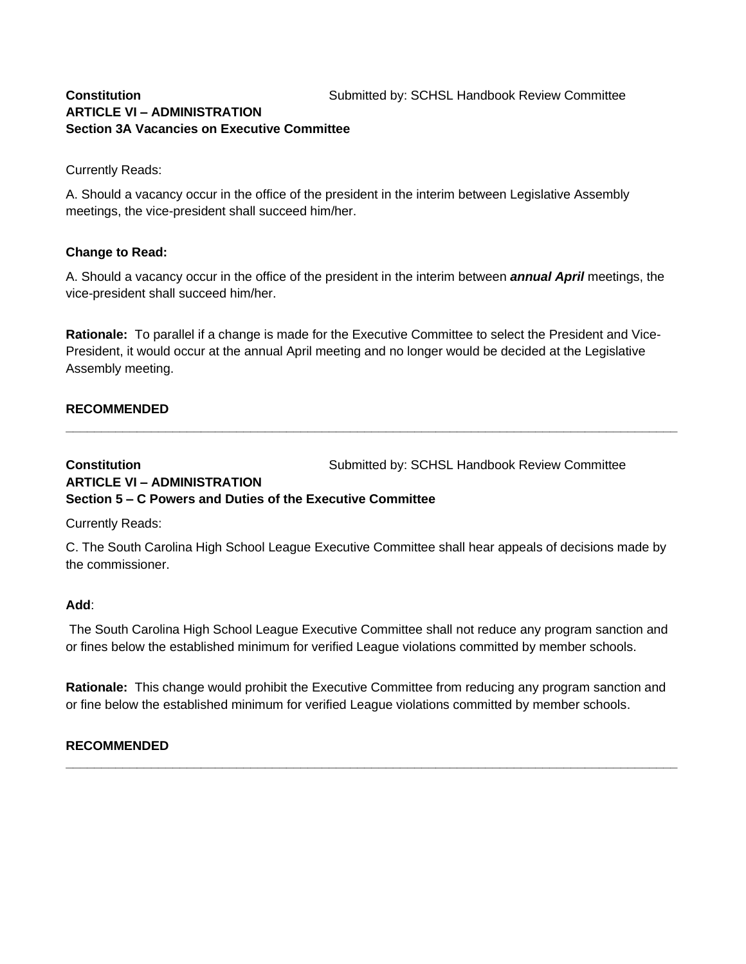### **Constitution Submitted by: SCHSL Handbook Review Committee ARTICLE VI – ADMINISTRATION Section 3A Vacancies on Executive Committee**

Currently Reads:

A. Should a vacancy occur in the office of the president in the interim between Legislative Assembly meetings, the vice-president shall succeed him/her.

#### **Change to Read:**

A. Should a vacancy occur in the office of the president in the interim between *annual April* meetings, the vice-president shall succeed him/her.

**Rationale:** To parallel if a change is made for the Executive Committee to select the President and Vice-President, it would occur at the annual April meeting and no longer would be decided at the Legislative Assembly meeting.

**\_\_\_\_\_\_\_\_\_\_\_\_\_\_\_\_\_\_\_\_\_\_\_\_\_\_\_\_\_\_\_\_\_\_\_\_\_\_\_\_\_\_\_\_\_\_\_\_\_\_\_\_\_\_\_\_\_\_\_\_\_\_\_\_\_\_\_\_\_\_\_\_\_\_\_\_\_\_\_\_\_\_\_\_\_\_**

#### **RECOMMENDED**

**Constitution Constitution Submitted by: SCHSL Handbook Review Committee ARTICLE VI – ADMINISTRATION Section 5 – C Powers and Duties of the Executive Committee**

Currently Reads:

C. The South Carolina High School League Executive Committee shall hear appeals of decisions made by the commissioner.

#### **Add**:

The South Carolina High School League Executive Committee shall not reduce any program sanction and or fines below the established minimum for verified League violations committed by member schools.

**Rationale:** This change would prohibit the Executive Committee from reducing any program sanction and or fine below the established minimum for verified League violations committed by member schools.

**\_\_\_\_\_\_\_\_\_\_\_\_\_\_\_\_\_\_\_\_\_\_\_\_\_\_\_\_\_\_\_\_\_\_\_\_\_\_\_\_\_\_\_\_\_\_\_\_\_\_\_\_\_\_\_\_\_\_\_\_\_\_\_\_\_\_\_\_\_\_\_\_\_\_\_\_\_\_\_\_\_\_\_\_\_\_**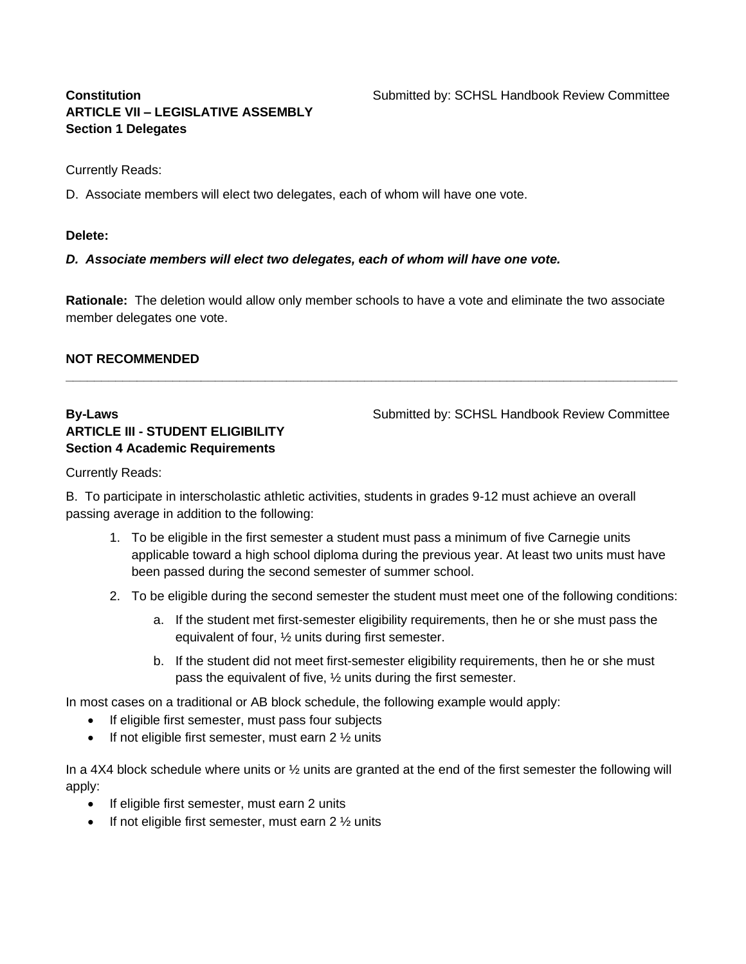# **ARTICLE VII – LEGISLATIVE ASSEMBLY Section 1 Delegates**

**Constitution Submitted by: SCHSL Handbook Review Committee** 

Currently Reads:

D. Associate members will elect two delegates, each of whom will have one vote.

### **Delete:**

*D. Associate members will elect two delegates, each of whom will have one vote.* 

**Rationale:** The deletion would allow only member schools to have a vote and eliminate the two associate member delegates one vote.

**\_\_\_\_\_\_\_\_\_\_\_\_\_\_\_\_\_\_\_\_\_\_\_\_\_\_\_\_\_\_\_\_\_\_\_\_\_\_\_\_\_\_\_\_\_\_\_\_\_\_\_\_\_\_\_\_\_\_\_\_\_\_\_\_\_\_\_\_\_\_\_\_\_\_\_\_\_\_\_\_\_\_\_\_\_\_**

## **NOT RECOMMENDED**

# **ARTICLE III - STUDENT ELIGIBILITY Section 4 Academic Requirements**

**By-Laws** Submitted by: SCHSL Handbook Review Committee

Currently Reads:

B. To participate in interscholastic athletic activities, students in grades 9-12 must achieve an overall passing average in addition to the following:

- 1. To be eligible in the first semester a student must pass a minimum of five Carnegie units applicable toward a high school diploma during the previous year. At least two units must have been passed during the second semester of summer school.
- 2. To be eligible during the second semester the student must meet one of the following conditions:
	- a. If the student met first-semester eligibility requirements, then he or she must pass the equivalent of four, ½ units during first semester.
	- b. If the student did not meet first-semester eligibility requirements, then he or she must pass the equivalent of five, ½ units during the first semester.

In most cases on a traditional or AB block schedule, the following example would apply:

- If eligible first semester, must pass four subjects
- If not eligible first semester, must earn  $2\frac{1}{2}$  units

In a 4X4 block schedule where units or ½ units are granted at the end of the first semester the following will apply:

- If eligible first semester, must earn 2 units
- If not eligible first semester, must earn  $2\frac{1}{2}$  units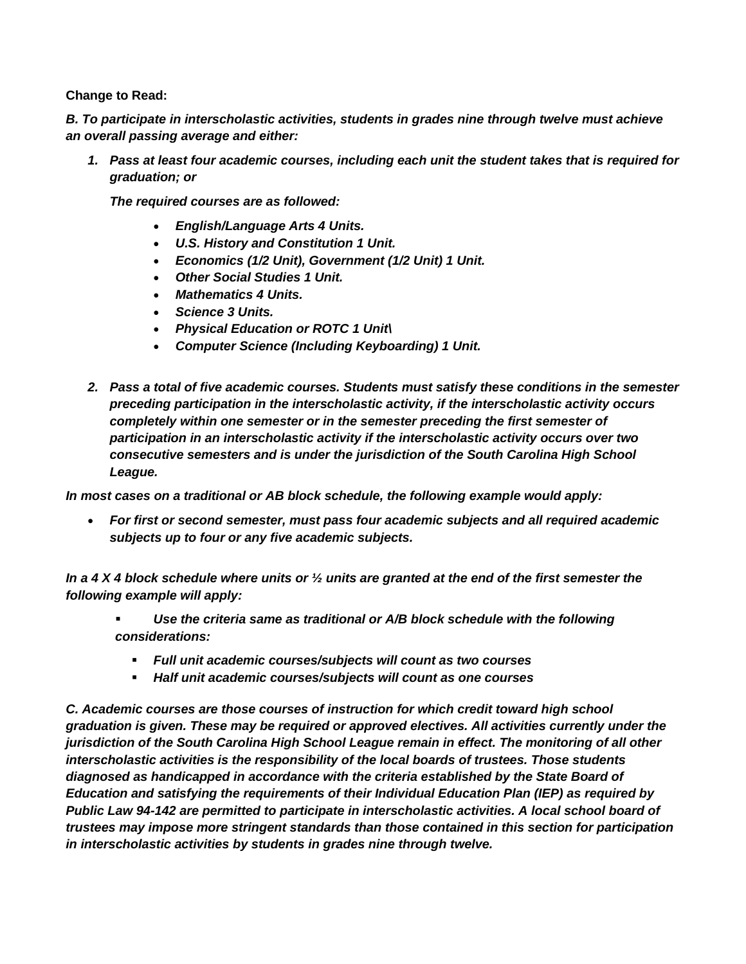*B. To participate in interscholastic activities, students in grades nine through twelve must achieve an overall passing average and either:*

*1. Pass at least four academic courses, including each unit the student takes that is required for graduation; or*

*The required courses are as followed:*

- *English/Language Arts 4 Units.*
- *U.S. History and Constitution 1 Unit.*
- *Economics (1/2 Unit), Government (1/2 Unit) 1 Unit.*
- *Other Social Studies 1 Unit.*
- *Mathematics 4 Units.*
- *Science 3 Units.*
- *Physical Education or ROTC 1 Unit\*
- *Computer Science (Including Keyboarding) 1 Unit.*
- *2. Pass a total of five academic courses. Students must satisfy these conditions in the semester preceding participation in the interscholastic activity, if the interscholastic activity occurs completely within one semester or in the semester preceding the first semester of participation in an interscholastic activity if the interscholastic activity occurs over two consecutive semesters and is under the jurisdiction of the South Carolina High School League.*

*In most cases on a traditional or AB block schedule, the following example would apply:*

• *For first or second semester, must pass four academic subjects and all required academic subjects up to four or any five academic subjects.*

*In a 4 X 4 block schedule where units or ½ units are granted at the end of the first semester the following example will apply:*

- Use the criteria same as traditional or A/B block schedule with the following *considerations:*
	- *Full unit academic courses/subjects will count as two courses*
	- *Half unit academic courses/subjects will count as one courses*

*C. Academic courses are those courses of instruction for which credit toward high school graduation is given. These may be required or approved electives. All activities currently under the jurisdiction of the South Carolina High School League remain in effect. The monitoring of all other interscholastic activities is the responsibility of the local boards of trustees. Those students diagnosed as handicapped in accordance with the criteria established by the State Board of Education and satisfying the requirements of their Individual Education Plan (IEP) as required by Public Law 94-142 are permitted to participate in interscholastic activities. A local school board of trustees may impose more stringent standards than those contained in this section for participation in interscholastic activities by students in grades nine through twelve.*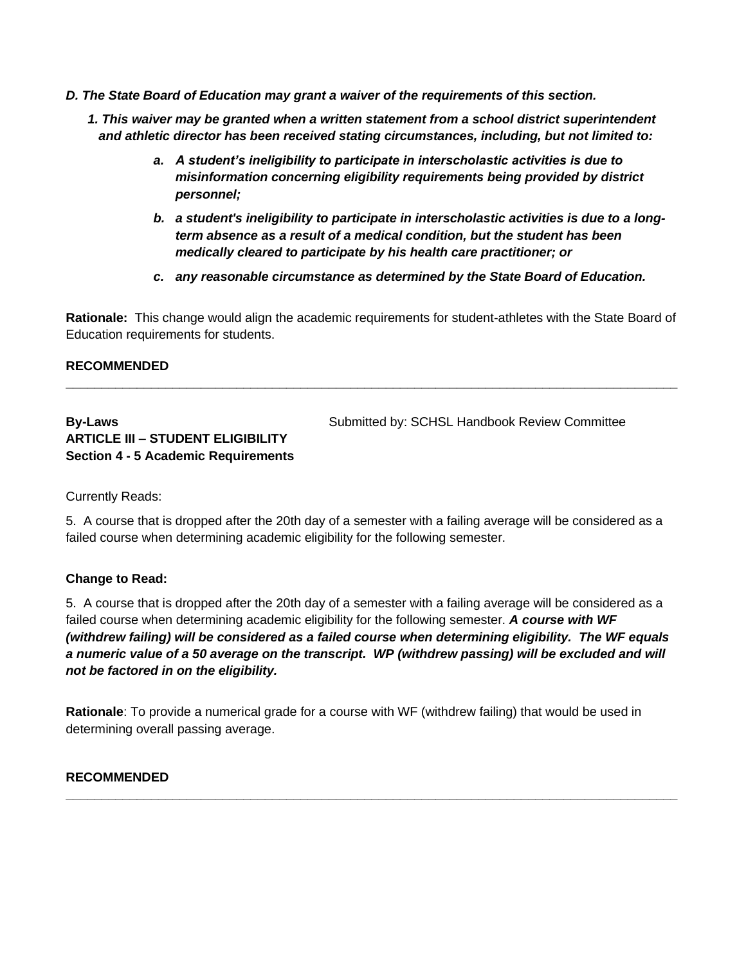- *D. The State Board of Education may grant a waiver of the requirements of this section.* 
	- *1. This waiver may be granted when a written statement from a school district superintendent and athletic director has been received stating circumstances, including, but not limited to:*
		- *a. A student's ineligibility to participate in interscholastic activities is due to misinformation concerning eligibility requirements being provided by district personnel;*
		- *b. a student's ineligibility to participate in interscholastic activities is due to a longterm absence as a result of a medical condition, but the student has been medically cleared to participate by his health care practitioner; or*
		- *c. any reasonable circumstance as determined by the State Board of Education.*

**Rationale:** This change would align the academic requirements for student-athletes with the State Board of Education requirements for students.

**\_\_\_\_\_\_\_\_\_\_\_\_\_\_\_\_\_\_\_\_\_\_\_\_\_\_\_\_\_\_\_\_\_\_\_\_\_\_\_\_\_\_\_\_\_\_\_\_\_\_\_\_\_\_\_\_\_\_\_\_\_\_\_\_\_\_\_\_\_\_\_\_\_\_\_\_\_\_\_\_\_\_\_\_\_\_**

## **RECOMMENDED**

# **ARTICLE III – STUDENT ELIGIBILITY Section 4 - 5 Academic Requirements**

**By-Laws By-Laws** Submitted by: SCHSL Handbook Review Committee

Currently Reads:

5. A course that is dropped after the 20th day of a semester with a failing average will be considered as a failed course when determining academic eligibility for the following semester.

#### **Change to Read:**

5. A course that is dropped after the 20th day of a semester with a failing average will be considered as a failed course when determining academic eligibility for the following semester. *A course with WF (withdrew failing) will be considered as a failed course when determining eligibility. The WF equals a numeric value of a 50 average on the transcript. WP (withdrew passing) will be excluded and will not be factored in on the eligibility.*

**Rationale**: To provide a numerical grade for a course with WF (withdrew failing) that would be used in determining overall passing average.

**\_\_\_\_\_\_\_\_\_\_\_\_\_\_\_\_\_\_\_\_\_\_\_\_\_\_\_\_\_\_\_\_\_\_\_\_\_\_\_\_\_\_\_\_\_\_\_\_\_\_\_\_\_\_\_\_\_\_\_\_\_\_\_\_\_\_\_\_\_\_\_\_\_\_\_\_\_\_\_\_\_\_\_\_\_\_**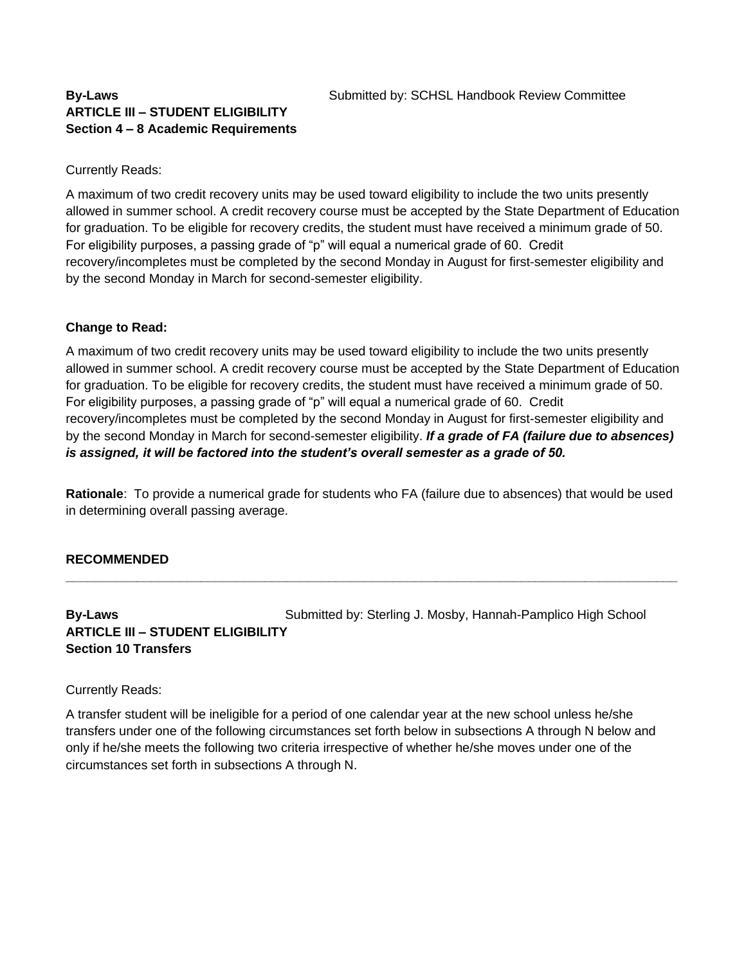## **ARTICLE III – STUDENT ELIGIBILITY Section 4 – 8 Academic Requirements**

## Currently Reads:

A maximum of two credit recovery units may be used toward eligibility to include the two units presently allowed in summer school. A credit recovery course must be accepted by the State Department of Education for graduation. To be eligible for recovery credits, the student must have received a minimum grade of 50. For eligibility purposes, a passing grade of "p" will equal a numerical grade of 60. Credit recovery/incompletes must be completed by the second Monday in August for first-semester eligibility and by the second Monday in March for second-semester eligibility.

## **Change to Read:**

A maximum of two credit recovery units may be used toward eligibility to include the two units presently allowed in summer school. A credit recovery course must be accepted by the State Department of Education for graduation. To be eligible for recovery credits, the student must have received a minimum grade of 50. For eligibility purposes, a passing grade of "p" will equal a numerical grade of 60. Credit recovery/incompletes must be completed by the second Monday in August for first-semester eligibility and by the second Monday in March for second-semester eligibility. *If a grade of FA (failure due to absences) is assigned, it will be factored into the student's overall semester as a grade of 50.*

**Rationale**: To provide a numerical grade for students who FA (failure due to absences) that would be used in determining overall passing average.

**\_\_\_\_\_\_\_\_\_\_\_\_\_\_\_\_\_\_\_\_\_\_\_\_\_\_\_\_\_\_\_\_\_\_\_\_\_\_\_\_\_\_\_\_\_\_\_\_\_\_\_\_\_\_\_\_\_\_\_\_\_\_\_\_\_\_\_\_\_\_\_\_\_\_\_\_\_\_\_\_\_\_\_\_\_\_**

## **RECOMMENDED**

## **By-Laws** Submitted by: Sterling J. Mosby, Hannah-Pamplico High School **ARTICLE III – STUDENT ELIGIBILITY Section 10 Transfers**

#### Currently Reads:

A transfer student will be ineligible for a period of one calendar year at the new school unless he/she transfers under one of the following circumstances set forth below in subsections A through N below and only if he/she meets the following two criteria irrespective of whether he/she moves under one of the circumstances set forth in subsections A through N.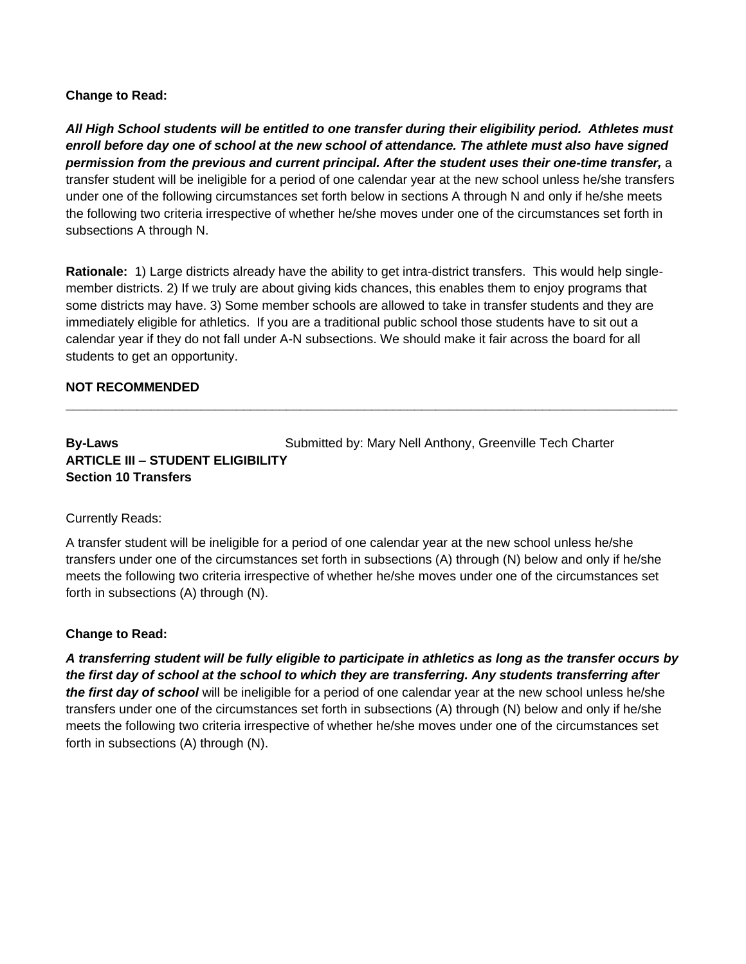*All High School students will be entitled to one transfer during their eligibility period. Athletes must enroll before day one of school at the new school of attendance. The athlete must also have signed permission from the previous and current principal. After the student uses their one-time transfer,* a transfer student will be ineligible for a period of one calendar year at the new school unless he/she transfers under one of the following circumstances set forth below in sections A through N and only if he/she meets the following two criteria irrespective of whether he/she moves under one of the circumstances set forth in subsections A through N.

**Rationale:** 1) Large districts already have the ability to get intra-district transfers. This would help singlemember districts. 2) If we truly are about giving kids chances, this enables them to enjoy programs that some districts may have. 3) Some member schools are allowed to take in transfer students and they are immediately eligible for athletics. If you are a traditional public school those students have to sit out a calendar year if they do not fall under A-N subsections. We should make it fair across the board for all students to get an opportunity.

**\_\_\_\_\_\_\_\_\_\_\_\_\_\_\_\_\_\_\_\_\_\_\_\_\_\_\_\_\_\_\_\_\_\_\_\_\_\_\_\_\_\_\_\_\_\_\_\_\_\_\_\_\_\_\_\_\_\_\_\_\_\_\_\_\_\_\_\_\_\_\_\_\_\_\_\_\_\_\_\_\_\_\_\_\_\_**

## **NOT RECOMMENDED**

## **By-Laws** Submitted by: Mary Nell Anthony, Greenville Tech Charter **ARTICLE III – STUDENT ELIGIBILITY Section 10 Transfers**

#### Currently Reads:

A transfer student will be ineligible for a period of one calendar year at the new school unless he/she transfers under one of the circumstances set forth in subsections (A) through (N) below and only if he/she meets the following two criteria irrespective of whether he/she moves under one of the circumstances set forth in subsections (A) through (N).

#### **Change to Read:**

*A transferring student will be fully eligible to participate in athletics as long as the transfer occurs by the first day of school at the school to which they are transferring. Any students transferring after the first day of school* will be ineligible for a period of one calendar year at the new school unless he/she transfers under one of the circumstances set forth in subsections (A) through (N) below and only if he/she meets the following two criteria irrespective of whether he/she moves under one of the circumstances set forth in subsections (A) through (N).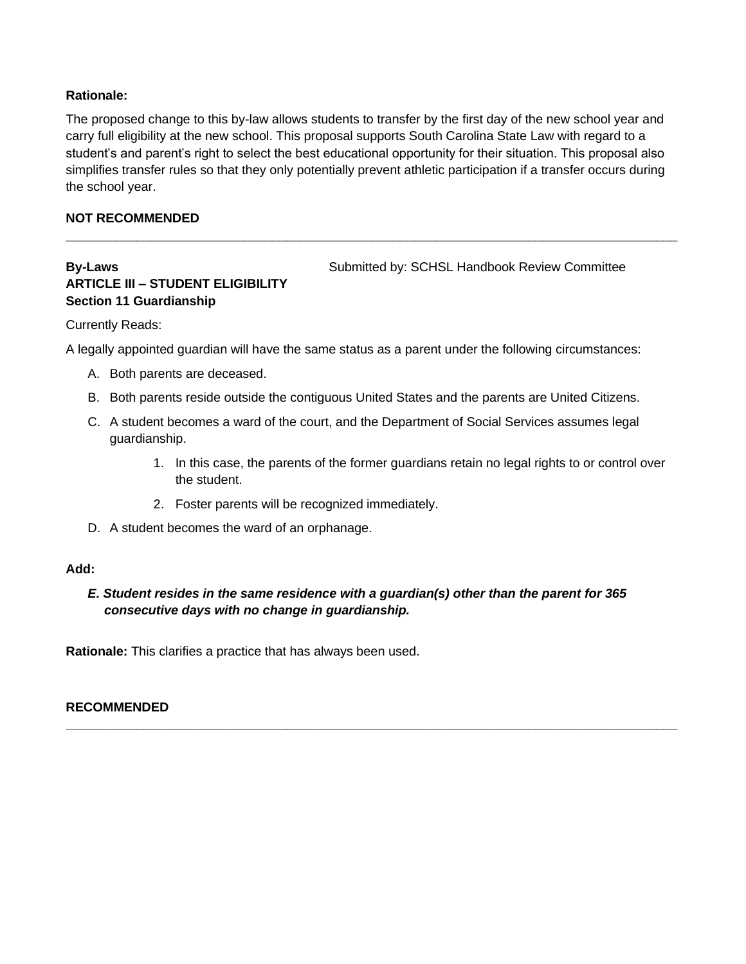### **Rationale:**

The proposed change to this by-law allows students to transfer by the first day of the new school year and carry full eligibility at the new school. This proposal supports South Carolina State Law with regard to a student's and parent's right to select the best educational opportunity for their situation. This proposal also simplifies transfer rules so that they only potentially prevent athletic participation if a transfer occurs during the school year.

**\_\_\_\_\_\_\_\_\_\_\_\_\_\_\_\_\_\_\_\_\_\_\_\_\_\_\_\_\_\_\_\_\_\_\_\_\_\_\_\_\_\_\_\_\_\_\_\_\_\_\_\_\_\_\_\_\_\_\_\_\_\_\_\_\_\_\_\_\_\_\_\_\_\_\_\_\_\_\_\_\_\_\_\_\_\_**

## **NOT RECOMMENDED**

# **ARTICLE III – STUDENT ELIGIBILITY Section 11 Guardianship**

**By-Laws** Submitted by: SCHSL Handbook Review Committee

Currently Reads:

A legally appointed guardian will have the same status as a parent under the following circumstances:

- A. Both parents are deceased.
- B. Both parents reside outside the contiguous United States and the parents are United Citizens.
- C. A student becomes a ward of the court, and the Department of Social Services assumes legal guardianship.
	- 1. In this case, the parents of the former guardians retain no legal rights to or control over the student.
	- 2. Foster parents will be recognized immediately.
- D. A student becomes the ward of an orphanage.

#### **Add:**

## *E. Student resides in the same residence with a guardian(s) other than the parent for 365 consecutive days with no change in guardianship.*

**\_\_\_\_\_\_\_\_\_\_\_\_\_\_\_\_\_\_\_\_\_\_\_\_\_\_\_\_\_\_\_\_\_\_\_\_\_\_\_\_\_\_\_\_\_\_\_\_\_\_\_\_\_\_\_\_\_\_\_\_\_\_\_\_\_\_\_\_\_\_\_\_\_\_\_\_\_\_\_\_\_\_\_\_\_\_**

**Rationale:** This clarifies a practice that has always been used.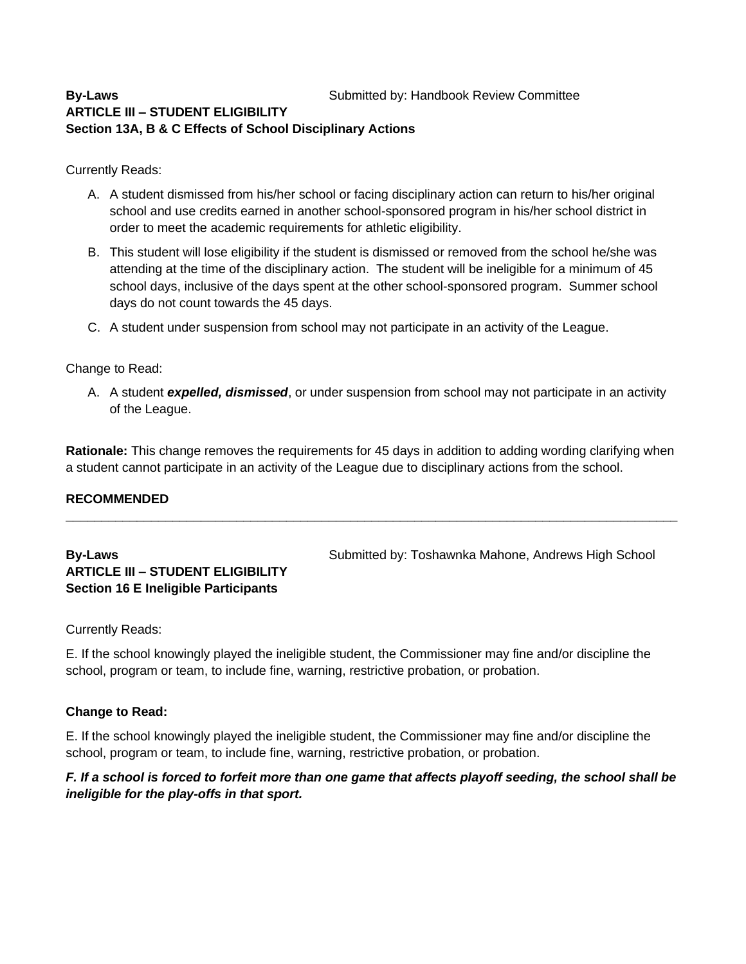## **By-Laws By-Laws** Submitted by: Handbook Review Committee **ARTICLE III – STUDENT ELIGIBILITY Section 13A, B & C Effects of School Disciplinary Actions**

Currently Reads:

- A. A student dismissed from his/her school or facing disciplinary action can return to his/her original school and use credits earned in another school-sponsored program in his/her school district in order to meet the academic requirements for athletic eligibility.
- B. This student will lose eligibility if the student is dismissed or removed from the school he/she was attending at the time of the disciplinary action. The student will be ineligible for a minimum of 45 school days, inclusive of the days spent at the other school-sponsored program. Summer school days do not count towards the 45 days.
- C. A student under suspension from school may not participate in an activity of the League.

## Change to Read:

A. A student *expelled, dismissed*, or under suspension from school may not participate in an activity of the League.

**Rationale:** This change removes the requirements for 45 days in addition to adding wording clarifying when a student cannot participate in an activity of the League due to disciplinary actions from the school.

**\_\_\_\_\_\_\_\_\_\_\_\_\_\_\_\_\_\_\_\_\_\_\_\_\_\_\_\_\_\_\_\_\_\_\_\_\_\_\_\_\_\_\_\_\_\_\_\_\_\_\_\_\_\_\_\_\_\_\_\_\_\_\_\_\_\_\_\_\_\_\_\_\_\_\_\_\_\_\_\_\_\_\_\_\_\_**

## **RECOMMENDED**

# **ARTICLE III – STUDENT ELIGIBILITY Section 16 E Ineligible Participants**

**By-Laws** Submitted by: Toshawnka Mahone, Andrews High School Submitted by: Toshawnka Mahone, Andrews High School

Currently Reads:

E. If the school knowingly played the ineligible student, the Commissioner may fine and/or discipline the school, program or team, to include fine, warning, restrictive probation, or probation.

#### **Change to Read:**

E. If the school knowingly played the ineligible student, the Commissioner may fine and/or discipline the school, program or team, to include fine, warning, restrictive probation, or probation.

## *F. If a school is forced to forfeit more than one game that affects playoff seeding, the school shall be ineligible for the play-offs in that sport.*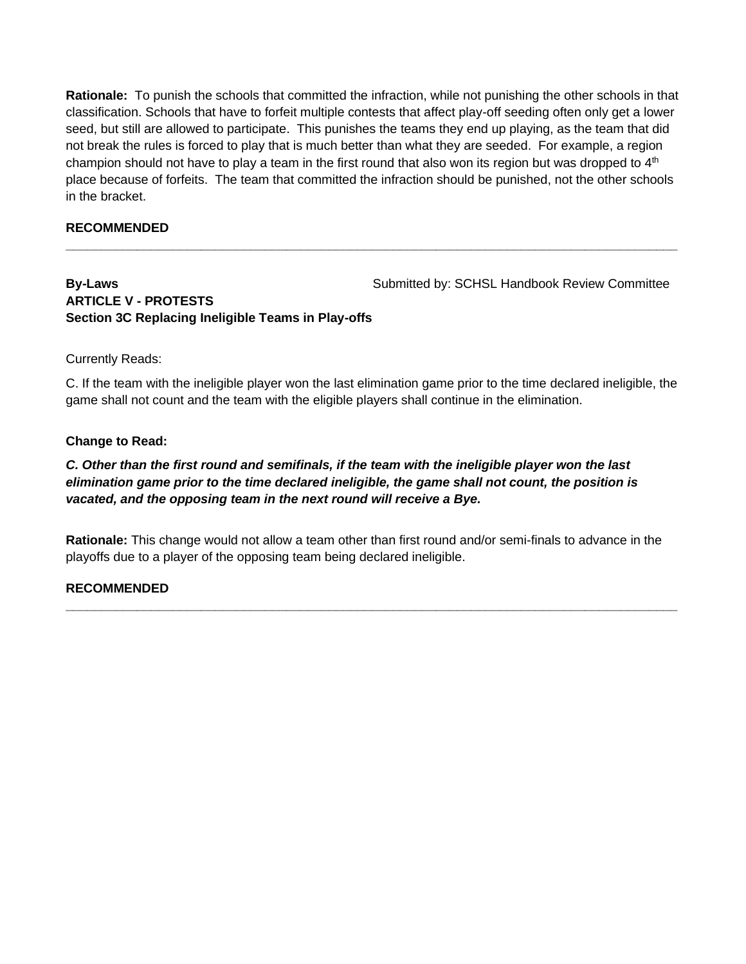**Rationale:** To punish the schools that committed the infraction, while not punishing the other schools in that classification. Schools that have to forfeit multiple contests that affect play-off seeding often only get a lower seed, but still are allowed to participate. This punishes the teams they end up playing, as the team that did not break the rules is forced to play that is much better than what they are seeded. For example, a region champion should not have to play a team in the first round that also won its region but was dropped to  $4<sup>th</sup>$ place because of forfeits. The team that committed the infraction should be punished, not the other schools in the bracket.

**\_\_\_\_\_\_\_\_\_\_\_\_\_\_\_\_\_\_\_\_\_\_\_\_\_\_\_\_\_\_\_\_\_\_\_\_\_\_\_\_\_\_\_\_\_\_\_\_\_\_\_\_\_\_\_\_\_\_\_\_\_\_\_\_\_\_\_\_\_\_\_\_\_\_\_\_\_\_\_\_\_\_\_\_\_\_**

## **RECOMMENDED**

**By-Laws** Submitted by: SCHSL Handbook Review Committee

## **ARTICLE V - PROTESTS Section 3C Replacing Ineligible Teams in Play-offs**

#### Currently Reads:

C. If the team with the ineligible player won the last elimination game prior to the time declared ineligible, the game shall not count and the team with the eligible players shall continue in the elimination.

## **Change to Read:**

## *C. Other than the first round and semifinals, if the team with the ineligible player won the last elimination game prior to the time declared ineligible, the game shall not count, the position is vacated, and the opposing team in the next round will receive a Bye.*

**Rationale:** This change would not allow a team other than first round and/or semi-finals to advance in the playoffs due to a player of the opposing team being declared ineligible.

**\_\_\_\_\_\_\_\_\_\_\_\_\_\_\_\_\_\_\_\_\_\_\_\_\_\_\_\_\_\_\_\_\_\_\_\_\_\_\_\_\_\_\_\_\_\_\_\_\_\_\_\_\_\_\_\_\_\_\_\_\_\_\_\_\_\_\_\_\_\_\_\_\_\_\_\_\_\_\_\_\_\_\_\_\_\_**